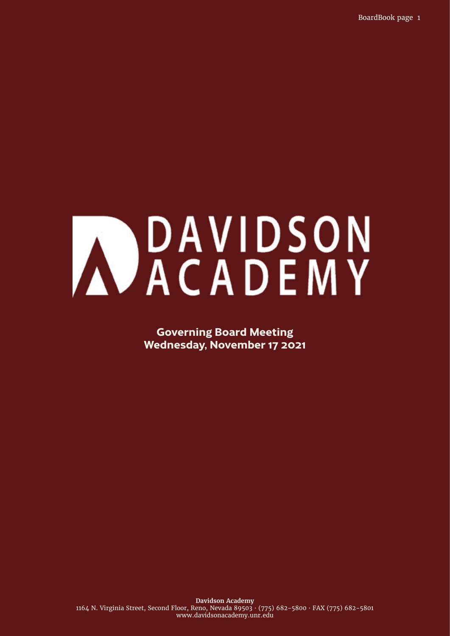BoardBook page 1

# MOAVIDSON

**Governing Board Meeting Wednesday, November 17 2021**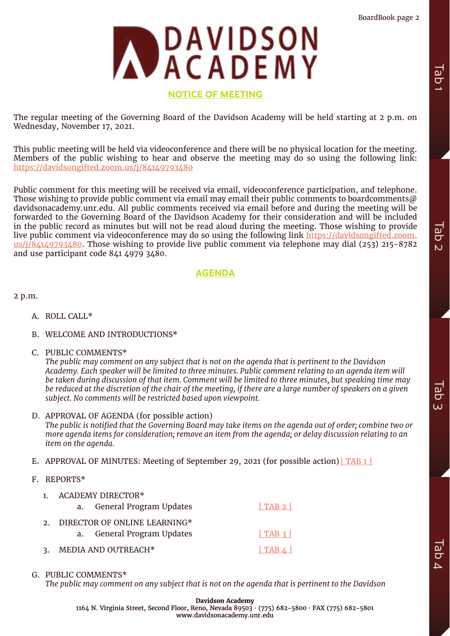

# **NOTICE OF MEETING**

The regular meeting of the Governing Board of the Davidson Academy will be held starting at 2 p.m. on Wednesday, November 17, 2021.

This public meeting will be held via videoconference and there will be no physical location for the meeting. Members of the public wishing to hear and observe the meeting may do so using the following link: <https://davidsongifted.zoom.us/j/84149793480>

Public comment for this meeting will be received via email, videoconference participation, and telephone. Those wishing to provide public comment via email may email their public comments to boardcomments  $\omega$ davidsonacademy.unr.edu. All public comments received via email before and during the meeting will be forwarded to the Governing Board of the Davidson Academy for their consideration and will be included in the public record as minutes but will not be read aloud during the meeting. Those wishing to provide live public comment via videoconference may do so using the following link [https://davidsongifted.zoom.](https://davidsongifted.zoom.us/j/84149793480) [us/j/84149793480](https://davidsongifted.zoom.us/j/84149793480). Those wishing to provide live public comment via telephone may dial (253) 215-8782 and use participant code 841 4979 3480.

# **AGENDA**

2 p.m.

- A. ROLL CALL\*
- B. WELCOME AND INTRODUCTIONS\*
- C. PUBLIC COMMENTS\*

*The public may comment on any subject that is not on the agenda that is pertinent to the Davidson Academy. Each speaker will be limited to three minutes. Public comment relating to an agenda item will be taken during discussion of that item. Comment will be limited to three minutes, but speaking time may be reduced at the discretion of the chair of the meeting, if there are a large number of speakers on a given subject. No comments will be restricted based upon viewpoint.*

- D. APPROVAL OF AGENDA (for possible action) *The public is notified that the Governing Board may take items on the agenda out of order; combine two or more agenda items for consideration; remove an item from the agenda; or delay discussion relating to an item on the agenda.*
- E. APPROVAL OF MINUTES: Meeting of September 29, 2021 (for possible action)  $\Gamma$ AB 1 |
- F. REPORTS\*
	- 1. ACADEMY DIRECTOR\* a. General Program Updates 1 TAB 2 | 2. DIRECTOR OF ONLINE LEARNING\* a. General Program Updates [| TAB 3 |](#page-9-0) 3. MEDIA AND OUTREACH\* [| TAB 4 |](#page-11-0)
- G. PUBLIC COMMENTS\*

*The public may comment on any subject that is not on the agenda that is pertinent to the Davidson*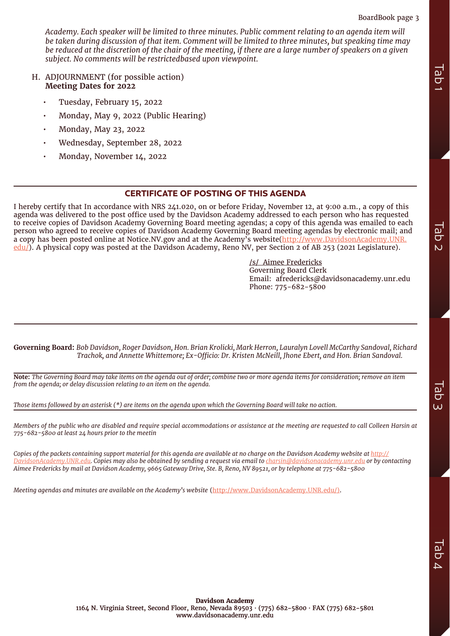# BoardBook page 3

*Academy. Each speaker will be limited to three minutes. Public comment relating to an agenda item will be taken during discussion of that item. Comment will be limited to three minutes, but speaking time may be reduced at the discretion of the chair of the meeting, if there are a large number of speakers on a given subject. No comments will be restrictedbased upon viewpoint.*

- H. ADJOURNMENT (for possible action) **Meeting Dates for 2022**
	- Tuesday, February 15, 2022
	- Monday, May 9, 2022 (Public Hearing)
	- Monday, May 23, 2022
	- Wednesday, September 28, 2022
	- Monday, November 14, 2022

# **CERTIFICATE OF POSTING OF THIS AGENDA**

I hereby certify that In accordance with NRS 241.020, on or before Friday, November 12, at 9:00 a.m., a copy of this agenda was delivered to the post office used by the Davidson Academy addressed to each person who has requested to receive copies of Davidson Academy Governing Board meeting agendas; a copy of this agenda was emailed to each person who agreed to receive copies of Davidson Academy Governing Board meeting agendas by electronic mail; and a copy has been posted online at Notice.NV.gov and at the Academy's website[\(http://www.DavidsonAcademy.UNR.](http://www.DavidsonAcademy.UNR.edu/) [edu/](http://www.DavidsonAcademy.UNR.edu/)). A physical copy was posted at the Davidson Academy, Reno NV, per Section 2 of AB 253 (2021 Legislature). *M.* ADJOURNMENT (for possible action)<br> *Meeting Data for 2022*<br> *Monday, May 33, 2022*<br> *Monday, May 93, 2022*<br> *Monday, Newtomber 14, 2022*<br> **Monday, Newtomber 14, 2022**<br> **Decelve certify that in accordance with NRS 241** 

/s/ Aimee Fredericks Governing Board Clerk Email: afredericks@davidsonacademy.unr.edu Phone: 775-682-5800

**Governing Board:** *Bob Davidson, Roger Davidson, Hon. Brian Krolicki, Mark Herron, Lauralyn Lovell McCarthy Sandoval, Richard Trachok, and Annette Whittemore; Ex-Officio: Dr. Kristen McNeill, Jhone Ebert, and Hon. Brian Sandoval.*

**Note:** *The Governing Board may take items on the agenda out of order; combine two or more agenda items for consideration; remove an item from the agenda; or delay discussion relating to an item on the agenda.*

*Those items followed by an asterisk (\*) are items on the agenda upon which the Governing Board will take no action.* 

*Members of the public who are disabled and require special accommodations or assistance at the meeting are requested to call Colleen Harsin at 775-682-5800 at least 24 hours prior to the meetin*

*Copies of the packets containing support material for this agenda are available at no charge on the Davidson Academy website at [http://](http://DavidsonAcademy.UNR.edu) [DavidsonAcademy.UNR.edu.](http://DavidsonAcademy.UNR.edu)* Copies may also be obtained by sending a request via email to [charsin@davidsonacademy.unr.edu](mailto:charsin@davidsonacademy.unr.edu) or by contacting *Aimee Fredericks by mail at Davidson Academy, 9665 Gateway Drive, Ste. B, Reno, NV 89521, or by telephone at 775-682-5800*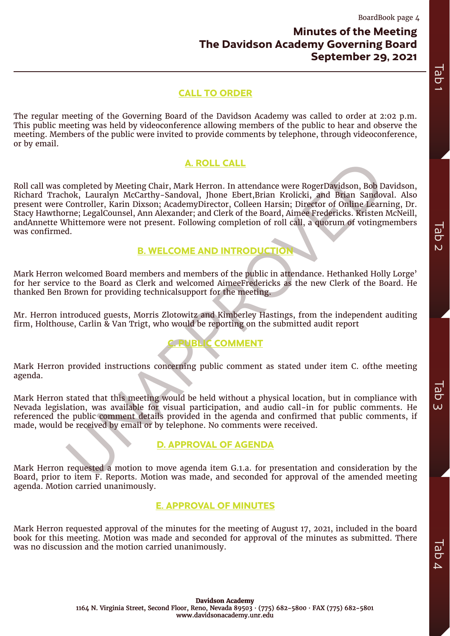# **Minutes of the Meeting The Davidson Academy Governing Board September 29, 2021**

# **CALL TO ORDER**

The regular meeting of the Governing Board of the Davidson Academy was called to order at 2:02 p.m. This public meeting was held by videoconference allowing members of the public to hear and observe the meeting. Members of the public were invited to provide comments by telephone, through videoconference, or by email.

# **A. ROLL CALL**

<span id="page-3-0"></span>**A. ROLL CALL**<br>
completed by Meeting Chair, Mark Herron. In attendance were RogerDavidson, Bob Dolo<br>
Loontroller, Karin Dixson; AcademyDirector, Colleen Harsin; Director of Online Ecarn<br>
controller, Karin Dixson; AcademyDi Roll call was completed by Meeting Chair, Mark Herron. In attendance were RogerDavidson, Bob Davidson, Richard Trachok, Lauralyn McCarthy-Sandoval, Jhone Ebert,Brian Krolicki, and Brian Sandoval. Also present were Controller, Karin Dixson; AcademyDirector, Colleen Harsin; Director of Online Learning, Dr. Stacy Hawthorne; LegalCounsel, Ann Alexander; and Clerk of the Board, Aimee Fredericks. Kristen McNeill, andAnnette Whittemore were not present. Following completion of roll call, a quorum of votingmembers was confirmed. **CALL TO ORDER**<br>The regular meeting of the Queening Board of the Dotsham Analogue was redied in order at 260 p.m.<br>This makes of the molecular control of the molecular properties of the molecular carriers of the molecular

# **B. WELCOME AND INTRODUCTION**

Mark Herron welcomed Board members and members of the public in attendance. Hethanked Holly Lorge' for her service to the Board as Clerk and welcomed AimeeFredericks as the new Clerk of the Board. He thanked Ben Brown for providing technicalsupport for the meeting.

Mr. Herron introduced guests, Morris Zlotowitz and Kimberley Hastings, from the independent auditing firm, Holthouse, Carlin & Van Trigt, who would be reporting on the submitted audit report

# **JBLIC COMMENT**

Mark Herron provided instructions concerning public comment as stated under item C. ofthe meeting agenda.

Mark Herron stated that this meeting would be held without a physical location, but in compliance with Nevada legislation, was available for visual participation, and audio call-in for public comments. He referenced the public comment details provided in the agenda and confirmed that public comments, if made, would be received by email or by telephone. No comments were received.

# **D. APPROVAL OF AGENDA**

Mark Herron requested a motion to move agenda item G.1.a. for presentation and consideration by the Board, prior to item F. Reports. Motion was made, and seconded for approval of the amended meeting agenda. Motion carried unanimously.

# **E. APPROVAL OF MINUTES**

Mark Herron requested approval of the minutes for the meeting of August 17, 2021, included in the board book for this meeting. Motion was made and seconded for approval of the minutes as submitted. There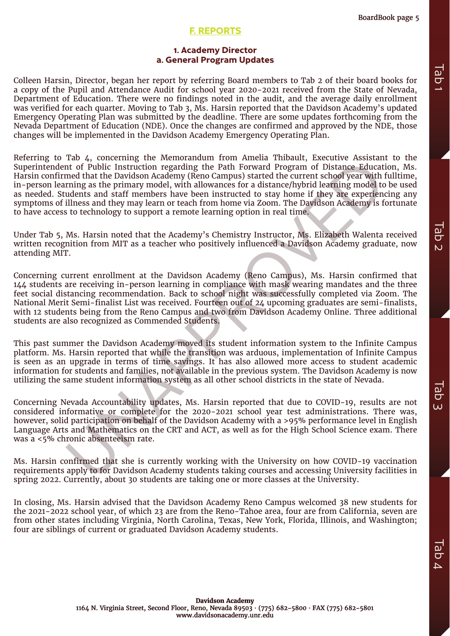# **F. REPORTS**

# **1. Academy Director a. General Program Updates**

Colleen Harsin, Director, began her report by referring Board members to Tab 2 of their board books for a copy of the Pupil and Attendance Audit for school year 2020-2021 received from the State of Nevada, Department of Education. There were no findings noted in the audit, and the average daily enrollment was verified for each quarter. Moving to Tab 3, Ms. Harsin reported that the Davidson Academy's updated Emergency Operating Plan was submitted by the deadline. There are some updates forthcoming from the Nevada Department of Education (NDE). Once the changes are confirmed and approved by the NDE, those changes will be implemented in the Davidson Academy Emergency Operating Plan.

Facture and that the Davidson Academy (Meno Campus) started the current stock and the follower Associated that the Davidson Academy (Reno Education of Public Instruction regarding the Path Forward Program of Distance Educa Referring to Tab 4, concerning the Memorandum from Amelia Thibault, Executive Assistant to the Superintendent of Public Instruction regarding the Path Forward Program of Distance Education, Ms. Harsin confirmed that the Davidson Academy (Reno Campus) started the current school year with fulltime, in-person learning as the primary model, with allowances for a distance/hybrid learning model to be used as needed. Students and staff members have been instructed to stay home if they are experiencing any symptoms of illness and they may learn or teach from home via Zoom. The Davidson Academy is fortunate to have access to technology to support a remote learning option in real time. Colsen Harsin, Director, began her report by referring Soard members to Tab 2 of their board books for converting the purps of converting the current or since of converting the purps of converting the purps of the purps o

Under Tab 5, Ms. Harsin noted that the Academy's Chemistry Instructor, Ms. Elizabeth Walenta received written recognition from MIT as a teacher who positively influenced a Davidson Academy graduate, now attending MIT.

Concerning current enrollment at the Davidson Academy (Reno Campus), Ms. Harsin confirmed that 144 students are receiving in-person learning in compliance with mask wearing mandates and the three feet social distancing recommendation. Back to school night was successfully completed via Zoom. The National Merit Semi-finalist List was received. Fourteen out of 24 upcoming graduates are semi-finalists, with 12 students being from the Reno Campus and two from Davidson Academy Online. Three additional students are also recognized as Commended Students.

This past summer the Davidson Academy moved its student information system to the Infinite Campus platform. Ms. Harsin reported that while the transition was arduous, implementation of Infinite Campus is seen as an upgrade in terms of time savings. It has also allowed more access to student academic information for students and families, not available in the previous system. The Davidson Academy is now utilizing the same student information system as all other school districts in the state of Nevada.

Concerning Nevada Accountability updates, Ms. Harsin reported that due to COVID-19, results are not considered informative or complete for the 2020-2021 school year test administrations. There was, however, solid participation on behalf of the Davidson Academy with a >95% performance level in English Language Arts and Mathematics on the CRT and ACT, as well as for the High School Science exam. There was a <5% chronic absenteeism rate.

Ms. Harsin confirmed that she is currently working with the University on how COVID-19 vaccination requirements apply to for Davidson Academy students taking courses and accessing University facilities in spring 2022. Currently, about 30 students are taking one or more classes at the University.

In closing, Ms. Harsin advised that the Davidson Academy Reno Campus welcomed 38 new students for the 2021-2022 school year, of which 23 are from the Reno-Tahoe area, four are from California, seven are from other states including Virginia, North Carolina, Texas, New York, Florida, Illinois, and Washington;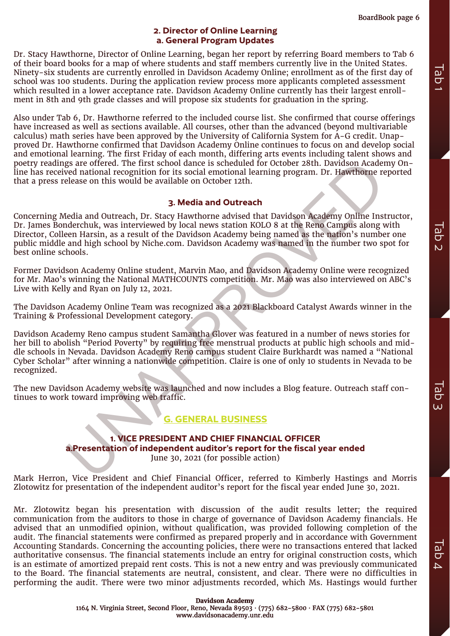# **2. Director of Online Learning a. General Program Updates**

Dr. Stacy Hawthorne, Director of Online Learning, began her report by referring Board members to Tab 6 of their board books for a map of where students and staff members currently live in the United States. Ninety-six students are currently enrolled in Davidson Academy Online; enrollment as of the first day of school was 100 students. During the application review process more applicants completed assessment which resulted in a lower acceptance rate. Davidson Academy Online currently has their largest enrollment in 8th and 9th grade classes and will propose six students for graduation in the spring.

Also under Tab 6, Dr. Hawthorne referred to the included course list. She confirmed that course offerings have increased as well as sections available. All courses, other than the advanced (beyond multivariable calculus) math series have been approved by the University of California System for A-G credit. Unapproved Dr. Hawthorne confirmed that Davidson Academy Online continues to focus on and develop social and emotional learning. The first Friday of each month, differing arts events including talent shows and poetry readings are offered. The first school dance is scheduled for October 28th. Davidson Academy Online has received national recognition for its social emotional learning program. Dr. Hawthorne reported that a press release on this would be available on October 12th.

# **3. Media and Outreach**

Concerning Media and Outreach, Dr. Stacy Hawthorne advised that Davidson Academy Online Instructor, Dr. James Bonderchuk, was interviewed by local news station KOLO 8 at the Reno Campus along with Director, Colleen Harsin, as a result of the Davidson Academy being named as the nation's number one public middle and high school by Niche.com. Davidson Academy was named in the number two spot for best online schools.

Former Davidson Academy Online student, Marvin Mao, and Davidson Academy Online were recognized for Mr. Mao's winning the National MATHCOUNTS competition. Mr. Mao was also interviewed on ABC's Live with Kelly and Ryan on July 12, 2021.

The Davidson Academy Online Team was recognized as a 2021 Blackboard Catalyst Awards winner in the Training & Professional Development category.

gs are offered. The first school dance is scheduled for October 28th. Davidson Academy<br>evel national recognition for its social emotional learning program. Dr. Hawthome release on this would be available on October 12th.<br> Davidson Academy Reno campus student Samantha Glover was featured in a number of news stories for her bill to abolish "Period Poverty" by requiring free menstrual products at public high schools and middle schools in Nevada. Davidson Academy Reno campus student Claire Burkhardt was named a "National Cyber Scholar" after winning a nationwide competition. Claire is one of only 10 students in Nevada to be recognized.

The new Davidson Academy website was launched and now includes a Blog feature. Outreach staff continues to work toward improving web traffic.

# **G. GENERAL BUSINESS**

# **1. VICE PRESIDENT AND CHIEF FINANCIAL OFFICER a.Presentation of independent auditor's report for the fiscal year ended**

June 30, 2021 (for possible action)

Mark Herron, Vice President and Chief Financial Officer, referred to Kimberly Hastings and Morris Zlotowitz for presentation of the independent auditor's report for the fiscal year ended June 30, 2021.

Mr. Zlotowitz began his presentation with discussion of the audit results letter; the required communication from the auditors to those in charge of governance of Davidson Academy financials. He advised that an unmodified opinion, without qualification, was provided following completion of the audit. The financial statements were confirmed as prepared properly and in accordance with Government Accounting Standards. Concerning the accounting policies, there were no transactions entered that lacked authoritative consensus. The financial statements include an entry for original construction costs, which is an estimate of amortized prepaid rent costs. This is not a new entry and was previously communicated to the Board. The financial statements are neutral, consistent, and clear. There were no difficulties in performing the audit. There were two minor adjustments recorded, which Ms. Hastings would further Ninky-six tendant are correction to the first day of the first day of the automatic state of the first day of the first day of the automatic state of the first day of the first day of the first day of the first day of the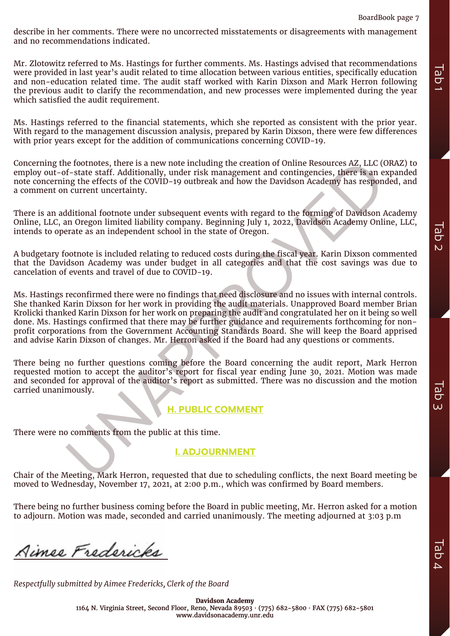describe in her comments. There were no uncorrected misstatements or disagreements with management and no recommendations indicated.

Mr. Zlotowitz referred to Ms. Hastings for further comments. Ms. Hastings advised that recommendations were provided in last year's audit related to time allocation between various entities, specifically education and non-education related time. The audit staff worked with Karin Dixson and Mark Herron following the previous audit to clarify the recommendation, and new processes were implemented during the year which satisfied the audit requirement.

Ms. Hastings referred to the financial statements, which she reported as consistent with the prior year. With regard to the management discussion analysis, prepared by Karin Dixson, there were few differences with prior years except for the addition of communications concerning COVID-19.

Concerning the footnotes, there is a new note including the creation of Online Resources AZ, LLC (ORAZ) to employ out-of-state staff. Additionally, under risk management and contingencies, there is an expanded note concerning the effects of the COVID-19 outbreak and how the Davidson Academy has responded, and a comment on current uncertainty.

There is an additional footnote under subsequent events with regard to the forming of Davidson Academy Online, LLC, an Oregon limited liability company. Beginning July 1, 2022, Davidson Academy Online, LLC, intends to operate as an independent school in the state of Oregon.

A budgetary footnote is included relating to reduced costs during the fiscal year. Karin Dixson commented that the Davidson Academy was under budget in all categories and that the cost savings was due to cancelation of events and travel of due to COVID-19.

is footnotes, there is a new note including the creation of Online Resources AZ, LLC (Contests at the Assume of the forming contests at the management and contingencies, there is an experiment uncertainty, there is an expe Ms. Hastings reconfirmed there were no findings that need disclosure and no issues with internal controls. She thanked Karin Dixson for her work in providing the audit materials. Unapproved Board member Brian Krolicki thanked Karin Dixson for her work on preparing the audit and congratulated her on it being so well done. Ms. Hastings confirmed that there may be further guidance and requirements forthcoming for nonprofit corporations from the Government Accounting Standards Board. She will keep the Board apprised and advise Karin Dixson of changes. Mr. Herron asked if the Board had any questions or comments. **Excel to the spectra in the spectrum of the respectrual submitted in the meaning advantable submitted by Aimen<br>The procedure of the Board Tab 3 Tab 3 Tab 3 Tab 3 Tab 3 Tab 3 Tab 3 Tab 3 Tab 3 Tab 3 Tab 3 Tab 3 Tab 3 Tab 3** 

There being no further questions coming before the Board concerning the audit report, Mark Herron requested motion to accept the auditor's report for fiscal year ending June 30, 2021. Motion was made and seconded for approval of the auditor's report as submitted. There was no discussion and the motion carried unanimously.

# **H. PUBLIC COMMENT**

There were no comments from the public at this time.

# **I. ADJOURNMENT**

Chair of the Meeting, Mark Herron, requested that due to scheduling conflicts, the next Board meeting be moved to Wednesday, November 17, 2021, at 2:00 p.m., which was confirmed by Board members.

There being no further business coming before the Board in public meeting, Mr. Herron asked for a motion to adjourn. Motion was made, seconded and carried unanimously. The meeting adjourned at 3:03 p.m

**Davidson Academy** 1164 N. Virginia Street, Second Floor, Reno, Nevada 89503 · (775) 682-5800 · FAX (775) 682-5801 www.davidsonacademy.unr.edu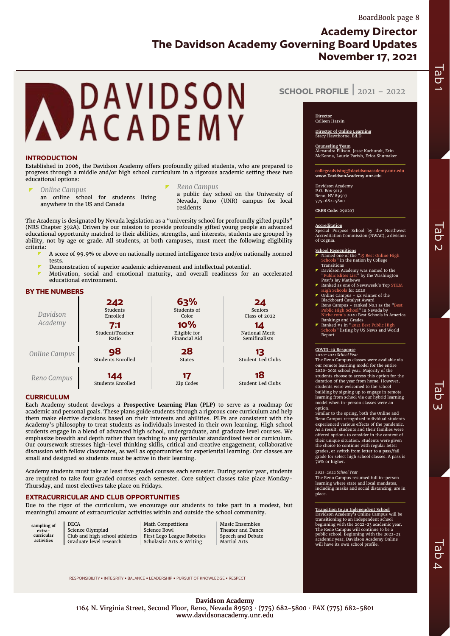Tab 2

<span id="page-7-0"></span>

#### **INTRODUCTION**

Established in 2006, the Davidson Academy offers profoundly gifted students, who are prepared to progress through a middle and/or high school curriculum in a rigorous academic setting these two educational options:

#### *Online Campus* an online school for students living anywhere in the US and Canada

*Reno Campus*

a public day school on the University of Nevada, Reno (UNR) campus for local residents

The Academy is designated by Nevada legislation as a "university school for profoundly gifted pupils" (NRS Chapter 392A). Driven by our mission to provide profoundly gifted young people an advanced educational opportunity matched to their abilities, strengths, and interests, students are grouped by ability, not by age or grade. All students, at both campuses, must meet the following eligibility criteria:

- A score of 99.9% or above on nationally normed intelligence tests and/or nationally normed tests.
- Demonstration of superior academic achievement and intellectual potential.
- Motivation, social and emotional maturity, and overall readiness for an accelerated educational environment.

#### **BY THE NUMBERS**

| Davidson<br>Academy | 242<br>Students<br>Enrolled<br>7:1<br>Student/Teacher<br>Ratio | 63%<br>Students of<br>Color<br>10%<br>Eligible for<br>Financial Aid | 24<br><b>Seniors</b><br><b>Class of 2022</b><br>14<br>National Merit<br>Semifinalists |
|---------------------|----------------------------------------------------------------|---------------------------------------------------------------------|---------------------------------------------------------------------------------------|
| Online Campus       | 98                                                             | 28                                                                  | 13                                                                                    |
|                     | Students Enrolled                                              | <b>States</b>                                                       | <b>Student Led Clubs</b>                                                              |
| Reno Campus         | 144                                                            | 17                                                                  | 18                                                                                    |
|                     | Students Enrolled                                              | Zip Codes                                                           | Student Led Clubs                                                                     |

#### **CURRICULUM**

Each Academy student develops a **Prospective Learning Plan (PLP)** to serve as a roadmap for academic and personal goals. These plans guide students through a rigorous core curriculum and help them make elective decisions based on their interests and abilities. PLPs are consistent with the Academy's philosophy to treat students as individuals invested in their own learning. High school students engage in a blend of advanced high school, undergraduate, and graduate level courses. We emphasize breadth and depth rather than teaching to any particular standardized test or curriculum. Our coursework stresses high-level thinking skills, critical and creative engagement, collaborative discussion with fellow classmates, as well as opportunities for experiential learning. Our classes are small and designed so students must be active in their learning.

Academy students must take at least five graded courses each semester. During senior year, students are required to take four graded courses each semester. Core subject classes take place Monday-Thursday, and most electives take place on Fridays.

#### **EXTRACURRICULAR AND CLUB OPPORTUNITIES**

Due to the rigor of the curriculum, we encourage our students to take part in a modest, but meaningful amount of extracurricular activities within and outside the school community.

RESPONSIBILITY · INTEGRITY · BALANCE · LEADERSHIP · PURSUIT OF KNOWLEDGE · RESPECT

**sampling of extra-curricular activities**

**DECA** Science Olympiad Club and high school athletics Graduate level research

Math Competitions Science Bowl First Lego League Robotics Scholastic Arts & Writing

Music Ensembles Theater and Dance Speech and Debate Martial Arts

**SCHOOL PROFILE** | <sup>2021</sup> – <sup>2022</sup>

# **Director** Colleen Harsin

**Director of Online Learning** Stacy Hawthorne, Ed.D.

**Counseling Team** Alexandra Ellison, Jesse Kachurak, Erin McKenna, Laurie Parish, Erica Shumaker

**collegeadvising@davidsonacademy.unr.edu www.DavidsonAcademy.unr.edu**

Davidson Academy P.O. Box 9119 Reno, NV 89507 775-682-5800

**CEEB Code:** 290207

**Accreditation** Special Purpose School by the Northwest Accreditation Commission (NWAC), a division of Cognia.

- **School Recognitions**<br> **T** Named one of the "15 Best Online High<br>
Schools" in the nation by College **Transitions**
- Davidson Academy was named to the<br>"Public Elites List" by the Washington
- "Public Elites List" by the Washington Post's Jay Mathews Ranked as one of Newsweek's Top STEM  $\frac{1}{18}$  for 2020
- Online Campus 4x winner of the
- Blackboard Catalyst Award Reno Campus ranked No.1 as the "Best Public High School" in Nevada by Niche.com's 2020 Best Schools in America
- Rankings and Grades<br>▼ Ranked #3 in "2021 Best Public High<br>Schools" listing by US News and World Report

# **COVID-19 Response** *2020-2021 School Year*

The Reno Campus classes were available via our remote learning model for the entire 2020-2021 school year. Majority of the students choose to access this option for the duration of the year from home. However, students were welcomed to the school building by signing up to engage in remote learning from school via our hybrid learning model when in-person classes were an option.

**s**<br>Similar to the spring, both the Online and Reno Campus recognized individual students experienced various effects of the pandemic. As a result, students and their families were offered options to consider in the context of their unique situation. Students were given the choice to continue with regular letter grades, or switch from letter to a pass/fail grade for select high school classes. A pass is 70% or higher.

#### *2021-2022 School Year*

The Reno Campus resumed full in-person learning where state and local mandates, including masks and social distancing, are in place.

**Transition to an Independent School** Davidson Academy's Online Campus will be transitioning to an independent school beginning with the 2022–23 academic year.<br>The Reno Campus will continue to be a<br>public school. Beginning with the 2022–23<br>academic year, Davidson Academy Online<br>will have its own school profile.

Tab 3

**Davidson Academy** 1164 N. Virginia Street, Second Floor, Reno, Nevada 89503 · (775) 682-5800 · FAX (775) 682-5801 www.davidsonacademy.unr.edu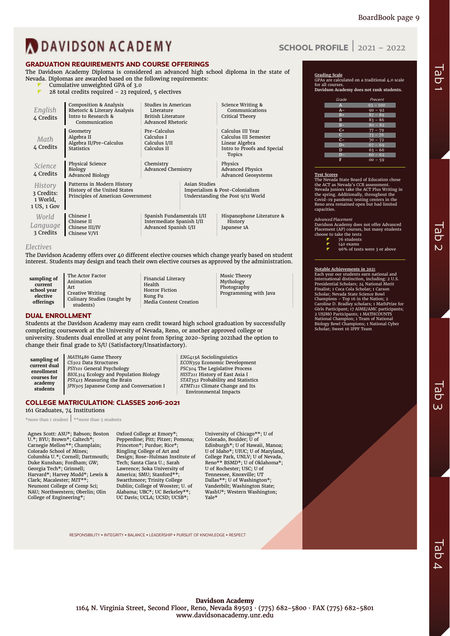Tab 2

# **N**DAVIDSON ACADEMY

# **GRADUATION REQUIREMENTS AND COURSE OFFERINGS**

The Davidson Academy Diploma is considered an advanced high school diploma in the state of Nevada. Diplomas are awarded based on the following requirements:

- Cumulative unweighted GPA of 3.0
- 28 total credits required 23 required, 5 electives

| English<br>4 Credits                             | <b>Composition &amp; Analysis</b><br>Rhetoric & Literary Analysis<br>Intro to Research &<br>Communication | Studies in American<br>Literature<br><b>British Literature</b><br>Advanced Rhetoric |                      | Science Writing &<br>Communications<br>Critical Theory                                                       |  |
|--------------------------------------------------|-----------------------------------------------------------------------------------------------------------|-------------------------------------------------------------------------------------|----------------------|--------------------------------------------------------------------------------------------------------------|--|
| Math<br>4 Credits                                | Geometry<br>Algebra II<br>Algebra II/Pre-Calculus<br><b>Statistics</b>                                    | Pre-Calculus<br>Calculus I<br>Calculus I/II<br>Calculus II                          |                      | Calculus III Year<br>Calculus III Semester<br>Linear Algebra<br>Intro to Proofs and Special<br><b>Topics</b> |  |
| Science<br>4 Credits                             | Physical Science<br><b>Biology</b><br><b>Advanced Biology</b>                                             | Chemistry<br><b>Advanced Chemistry</b>                                              |                      | Physics<br><b>Advanced Physics</b><br><b>Advanced Geosystems</b>                                             |  |
| History<br>3 Credits:<br>1 World,<br>1 US, 1 Gov | Patterns in Modern History<br>History of the United States<br>Principles of American Government           |                                                                                     | <b>Asian Studies</b> | Imperialism & Post-Colonialism<br>Understanding the Post 9/11 World                                          |  |
| World<br>Language<br>२ Credits                   | Chinese I<br>Chinese II<br>Chinese III/IV<br>Chinese V/VI                                                 | Spanish Fundamentals I/II<br>Intermediate Spanish I/II<br>Advanced Spanish I/II     |                      | Hispanophone Literature &<br>History<br>Japanese 1A                                                          |  |

#### *Electives*

The Davidson Academy offers over 40 different elective courses which change yearly based on student interest. Students may design and teach their own elective courses as approved by the administration.

**sampling of current school year elective offerings** The Actor Factor Animation Art Creative Writing students)

Culinary Studies (taught by

Financial Literacy Health Horror Fiction Kung Fu Media Content Creation Music Theory Mythology Photography Programming with Java

## **DUAL ENROLLMENT**

Students at the Davidson Academy may earn credit toward high school graduation by successfully completing coursework at the University of Nevada, Reno, or another approved college or university. Students dual enrolled at any point from Spring 2020-Spring 2021had the option to change their final grade to S/U (Satisfactory/Unsatisfactory).

| sampling of  | MATH486 Game Theory                     | ENG413A Sociolinguistics                   |
|--------------|-----------------------------------------|--------------------------------------------|
| current dual | CS302 Data Structures                   | ECON359 Economic Development               |
| enrollment   | PSY101 General Psychology               | PSC <sub>304</sub> The Legislative Process |
| courses for  | BIOL314 Ecology and Population Biology  | HIST211 History of East Asia I             |
| academy      | PSY413 Measuring the Brain              | STAT352 Probability and Statistics         |
| students     | JPN305 Japanese Comp and Conversation I | ATMT121 Climate Change and Its             |
|              |                                         | Environmental Impacts                      |

### **COLLEGE MATRICULATION: CLASSES 2016-2021**

161 Graduates, 74 Institutions

\*more than 1 student | \*\*more than 5 students

Agnes Scott: ASU\*; Babson; Boston U.\*; BYU; Brown\*; Caltech\*; Carnegie Mellon\*\*; Champlain; Colorado School of Mines; Columbia U.\*; Cornell; Dartmouth; Duke Kunshan; Fordham; GW; Georgia Tech\*; Grinnell; Harvard\*; Harvey Mudd\*; Lewis & Clark; Macalester; MIT\*\*; Neumont College of Comp Sci; NAU; Northwestern; Oberlin; Olin College of Engineering\*;

Oxford College at Emory\*; Pepperdine; Pitt; Pitzer; Pomona; Princeton\*; Purdue; Rice\*; Ringling College of Art and Design; Rose-Hulman Institute of Tech; Santa Clara U.; Sarah Lawrence; Soka University of America; SMU; Stanford\*\*; Swarthmore; Trinity College Dublin; College of Wooster; U. of Alabama; UBC\*; UC Berkeley\*\*; UC Davis; UCLA; UCSD; UCSB\*;

University of Chicago\*\*; U of Colorado, Boulder; U of Edinburgh\*; U of Hawaii, Manoa; U of Idaho\*; UIUC; U of Maryland, College Park, UNLV; U of Nevada, Reno\*\* BSMD\*; U of Oklahoma\*; U of Rochester; USC; U of Tennessee, Knoxville; UT Dallas\*\*; U of Washington\*; Vanderbilt; Washington State; WashU\*; Western Washington; Yale\*

RESPONSIBILITY ▪ INTEGRITY ▪ BALANCE ▪ LEADERSHIP ▪ PURSUIT OF KNOWLEDGE ▪ RESPECT

# **SCHOOL PROFILE** | <sup>2021</sup> – <sup>2022</sup>

**Grading Scale** GPAs are calculated on a traditional 4.0 scale for all courses. **Davidson Academy does not rank students.**

| Grade        | Precent    |
|--------------|------------|
| $\mathbf{A}$ | $93 - 100$ |
| $A-$         | $90 - 92$  |
| $B+$         | $87 - 89$  |
| $\mathbf{B}$ | $83 - 86$  |
| $B -$        | $80 - 82$  |
| $C+$         | $77 - 79$  |
| C.           | $73 - 76$  |
| $C -$        | $70 - 72$  |
| $D+$         | $67 - 69$  |
| D            | $63 - 66$  |
|              | $60 - 62$  |
| F            | $00 - 59$  |

**Test Scores** The Nevada State Board of Education chose the ACT as Nevada's CCR assessment. Nevada juniors take the ACT Plus Writing in the spring. Additionally, throughout the Covid-19 pandemic testing centers in the Reno area remained open but had limited capacities.

#### *Advanced Placement*

Davidson Academy does not offer Advanced Placement (AP) courses, but many students choose to take the tests<br>76 students<br>7 140 exams

- 
- 96% of tests were 3 or above

#### **Notable Achievements in 202**1

Each year our students earn national and international distinction, including: 2 U.S. Presidential Scholars; 24 National Merit Finalist; 1 Coca Cola Scholar; 1 Carson Scholar; Nevada State Science Bowl<br>Champions – Top 16 in the Nation; 2<br>Caroline D. Bradley scholars; 1 MathPrize for<br>Girls Participant; 17 AIME/AMC participants;<br>2 USJMO Participants; 1 MATHCOUNTS National Champion; 1 Team of National Biology Bowl Champions; 1 National Cyber Scholar; Sweet 16 IPPF Team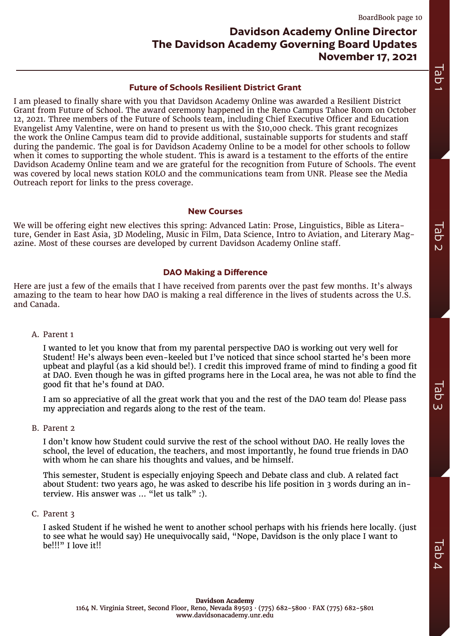# **Davidson Academy Online Director The Davidson Academy Governing Board Updates November 17, 2021**

# **Future of Schools Resilient District Grant**

<span id="page-9-0"></span>I am pleased to finally share with you that Davidson Academy Online was awarded a Resilient District Grant from Future of School. The award ceremony happened in the Reno Campus Tahoe Room on October 12, 2021. Three members of the Future of Schools team, including Chief Executive Officer and Education Evangelist Amy Valentine, were on hand to present us with the \$10,000 check. This grant recognizes the work the Online Campus team did to provide additional, sustainable supports for students and staff during the pandemic. The goal is for Davidson Academy Online to be a model for other schools to follow when it comes to supporting the whole student. This is award is a testament to the efforts of the entire Davidson Academy Online team and we are grateful for the recognition from Future of Schools. The event was covered by local news station KOLO and the communications team from UNR. Please see the Media Outreach report for links to the press coverage.

# **New Courses**

We will be offering eight new electives this spring: Advanced Latin: Prose, Linguistics, Bible as Literature, Gender in East Asia, 3D Modeling, Music in Film, Data Science, Intro to Aviation, and Literary Magazine. Most of these courses are developed by current Davidson Academy Online staff.

# **DAO Making a Difference**

Here are just a few of the emails that I have received from parents over the past few months. It's always amazing to the team to hear how DAO is making a real difference in the lives of students across the U.S. and Canada.

A. Parent 1

I wanted to let you know that from my parental perspective DAO is working out very well for Student! He's always been even-keeled but I've noticed that since school started he's been more upbeat and playful (as a kid should be!). I credit this improved frame of mind to finding a good fit at DAO. Even though he was in gifted programs here in the Local area, he was not able to find the good fit that he's found at DAO.

I am so appreciative of all the great work that you and the rest of the DAO team do! Please pass my appreciation and regards along to the rest of the team.

B. Parent 2

I don't know how Student could survive the rest of the school without DAO. He really loves the school, the level of education, the teachers, and most importantly, he found true friends in DAO with whom he can share his thoughts and values, and be himself.

This semester, Student is especially enjoying Speech and Debate class and club. A related fact about Student: two years ago, he was asked to describe his life position in 3 words during an interview. His answer was ... "let us talk" :).

C. Parent 3

I asked Student if he wished he went to another school perhaps with his friends here locally. (just to see what he would say) He unequivocally said, "Nope, Davidson is the only place I want to be!!!" I love it!!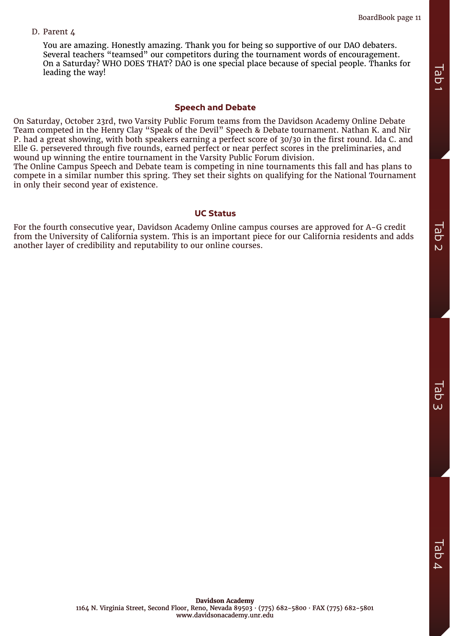# D. Parent 4

You are amazing. Honestly amazing. Thank you for being so supportive of our DAO debaters. Several teachers "teamsed" our competitors during the tournament words of encouragement. On a Saturday? WHO DOES THAT? DAO is one special place because of special people. Thanks for leading the way!

# **Speech and Debate**

On Saturday, October 23rd, two Varsity Public Forum teams from the Davidson Academy Online Debate Team competed in the Henry Clay "Speak of the Devil" Speech & Debate tournament. Nathan K. and Nir P. had a great showing, with both speakers earning a perfect score of 30/30 in the first round. Ida C. and Elle G. persevered through five rounds, earned perfect or near perfect scores in the preliminaries, and wound up winning the entire tournament in the Varsity Public Forum division. **Example 19** and variables and **Critical** Speech and Debate<br>
On Saturday, October 23rd, two Varsity Public Forum teams from the Davidson Academy Online Debate<br>
Team competed in the Henry Clay "speak of the Devil" speech &

The Online Campus Speech and Debate team is competing in nine tournaments this fall and has plans to compete in a similar number this spring. They set their sights on qualifying for the National Tournament in only their second year of existence.

# **UC Status**

For the fourth consecutive year, Davidson Academy Online campus courses are approved for A-G credit from the University of California system. This is an important piece for our California residents and adds<br>another laver of credibility and reputability to our online courses.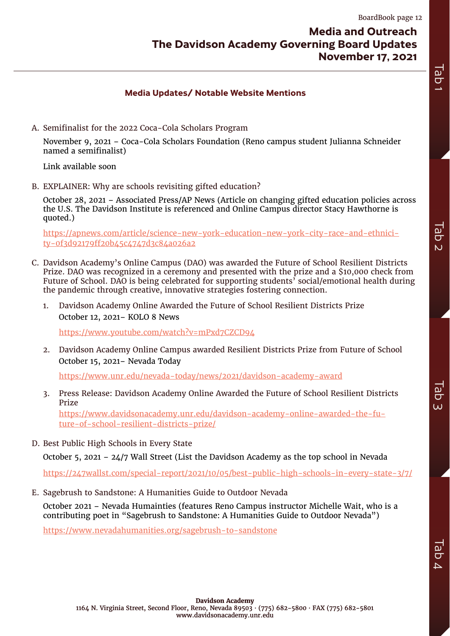Tab 2

# **Media Updates/ Notable Website Mentions**

<span id="page-11-0"></span>A. Semifinalist for the 2022 Coca-Cola Scholars Program

November 9, 2021 – Coca-Cola Scholars Foundation (Reno campus student Julianna Schneider named a semifinalist)

Link available soon

B. EXPLAINER: Why are schools revisiting gifted education?

October 28, 2021 – Associated Press/AP News (Article on changing gifted education policies across the U.S. The Davidson Institute is referenced and Online Campus director Stacy Hawthorne is quoted.)

[https://apnews.com/article/science-new-york-education-new-york-city-race-and-ethnici](https://apnews.com/article/science-new-york-education-new-york-city-race-and-ethnicity-0f3d92179ff20b45c4747d3c84a026a2)[ty-0f3d92179ff20b45c4747d3c84a026a2](https://apnews.com/article/science-new-york-education-new-york-city-race-and-ethnicity-0f3d92179ff20b45c4747d3c84a026a2)

- C. Davidson Academy's Online Campus (DAO) was awarded the Future of School Resilient Districts Prize. DAO was recognized in a ceremony and presented with the prize and a \$10,000 check from Future of School. DAO is being celebrated for supporting students' social/emotional health during the pandemic through creative, innovative strategies fostering connection.
	- 1. Davidson Academy Online Awarded the Future of School Resilient Districts Prize October 12, 2021– KOLO 8 News

<https://www.youtube.com/watch?v=mPxd7CZCD94>

2. Davidson Academy Online Campus awarded Resilient Districts Prize from Future of School October 15, 2021– Nevada Today

<https://www.unr.edu/nevada-today/news/2021/davidson-academy-award>

3. Press Release: Davidson Academy Online Awarded the Future of School Resilient Districts Prize

[https://www.davidsonacademy.unr.edu/davidson-academy-online-awarded-the-fu](https://www.davidsonacademy.unr.edu/davidson-academy-online-awarded-the-future-of-school-resilient-districts-prize/)[ture-of-school-resilient-districts-prize/](https://www.davidsonacademy.unr.edu/davidson-academy-online-awarded-the-future-of-school-resilient-districts-prize/)

D. Best Public High Schools in Every State

October 5, 2021 – 24/7 Wall Street (List the Davidson Academy as the top school in Nevada

<https://247wallst.com/special-report/2021/10/05/best-public-high-schools-in-every-state-3/7/>

E. Sagebrush to Sandstone: A Humanities Guide to Outdoor Nevada

October 2021 – Nevada Humainties (features Reno Campus instructor Michelle Wait, who is a contributing poet in "Sagebrush to Sandstone: A Humanities Guide to Outdoor Nevada")

<https://www.nevadahumanities.org/sagebrush-to-sandstone>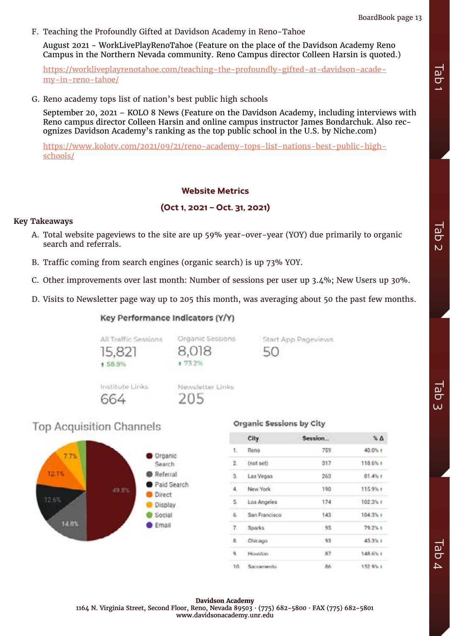F. Teaching the Profoundly Gifted at Davidson Academy in Reno-Tahoe

August 2021 - WorkLivePlayRenoTahoe (Feature on the place of the Davidson Academy Reno Campus in the Northern Nevada community. Reno Campus director Colleen Harsin is quoted.)

[https://workliveplayrenotahoe.com/teaching-the-profoundly-gifted-at-davidson-acade](https://workliveplayrenotahoe.com/teaching-the-profoundly-gifted-at-davidson-academy-in-reno-tahoe/)[my-in-reno-tahoe/](https://workliveplayrenotahoe.com/teaching-the-profoundly-gifted-at-davidson-academy-in-reno-tahoe/)

G. Reno academy tops list of nation's best public high schools

September 20, 2021 – KOLO 8 News (Feature on the Davidson Academy, including interviews with Reno campus director Colleen Harsin and online campus instructor James Bondarchuk. Also recognizes Davidson Academy's ranking as the top public school in the U.S. by Niche.com)

[https://www.kolotv.com/2021/09/21/reno-academy-tops-list-nations-best-public-high](https://www.kolotv.com/2021/09/21/reno-academy-tops-list-nations-best-public-high-schools/)[schools/](https://www.kolotv.com/2021/09/21/reno-academy-tops-list-nations-best-public-high-schools/)

# **Website Metrics**

# **(Oct 1, 2021 – Oct. 31, 2021)**

# **Key Takeaways**

- A. Total website pageviews to the site are up 59% year-over-year (YOY) due primarily to organic search and referrals.
- B. Traffic coming from search engines (organic search) is up 73% YOY.
- C. Other improvements over last month: Number of sessions per user up 3.4%; New Users up 30%.
- D. Visits to Newsletter page way up to 205 this month, was averaging about 50 the past few months.

Organic Sessions

8.018

+ 73.25

# Key Performance Indicators (Y/Y)



All Traffic Sessions

15.821

1 58.9%

# Organic Sessions by City

50

Start App Pageviews

|           | <b>City</b>    | Session | $\sim \Delta$ |
|-----------|----------------|---------|---------------|
| <b>1.</b> | Reno           | 759     | 40.0% +       |
| 2.        | (not set)      | 317     | 118.6% +      |
| ú.        | Las Vegas      | 263     | $01.4%$ t     |
| 4.        | New York       | 190     | 115.9% +      |
| 5.        | Los Angeles    | 174     | 102.3% 1      |
| ů.        | San Francisco  | 143     | $104.3\%$ 1   |
| 7.        | Sparks         | $-95$   | 79.2%1        |
| 8.        | Chicago        | $-93$   | 45.3% +       |
| 雇         | Houston -      | 87      | 148.6% 1      |
|           | 10. Sacramento | 86      | 152.9% +      |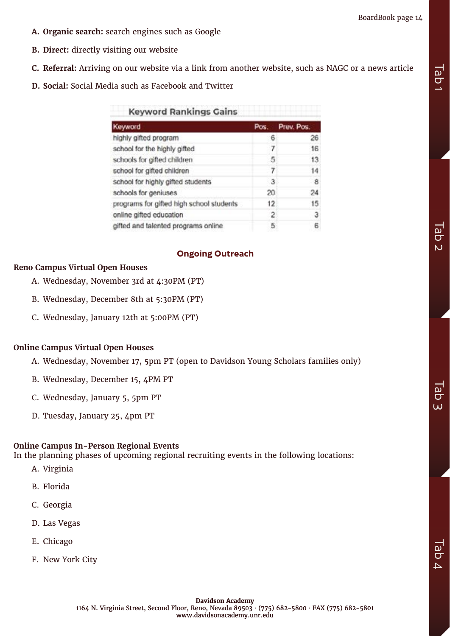- **A. Organic search:** search engines such as Google
- **B. Direct:** directly visiting our website
- **C. Referral:** Arriving on our website via a link from another website, such as NAGC or a news article
- **D. Social:** Social Media such as Facebook and Twitter

| <b>Keyword Rankings Gains</b>            |      |            |  |
|------------------------------------------|------|------------|--|
| Keyword                                  | Pos. | Prev. Pos. |  |
| highly gifted program                    | 6    | 26         |  |
| school for the highly gifted             |      | 16         |  |
| schools for gifted children              | 5    | 13         |  |
| school for gifted children               |      | 14         |  |
| school for highly gifted students        | 3    | - 8        |  |
| schools for geniuses                     | 20   | 24         |  |
| programs for gifted high school students | 12   | 15         |  |
| online gifted education                  | 2    | 3          |  |
| gifted and talented programs online      | 5    | 6          |  |

# **Ongoing Outreach**

# **Reno Campus Virtual Open Houses**

- A. Wednesday, November 3rd at 4:30PM (PT)
- B. Wednesday, December 8th at 5:30PM (PT)
- C. Wednesday, January 12th at 5:00PM (PT)

# **Online Campus Virtual Open Houses**

- A. Wednesday, November 17, 5pm PT (open to Davidson Young Scholars families only)
- B. Wednesday, December 15, 4PM PT
- C. Wednesday, January 5, 5pm PT
- D. Tuesday, January 25, 4pm PT

# **Online Campus In-Person Regional Events**

In the planning phases of upcoming regional recruiting events in the following locations:

- A. Virginia
- B. Florida
- C. Georgia
- D. Las Vegas
- E. Chicago
- F. New York City